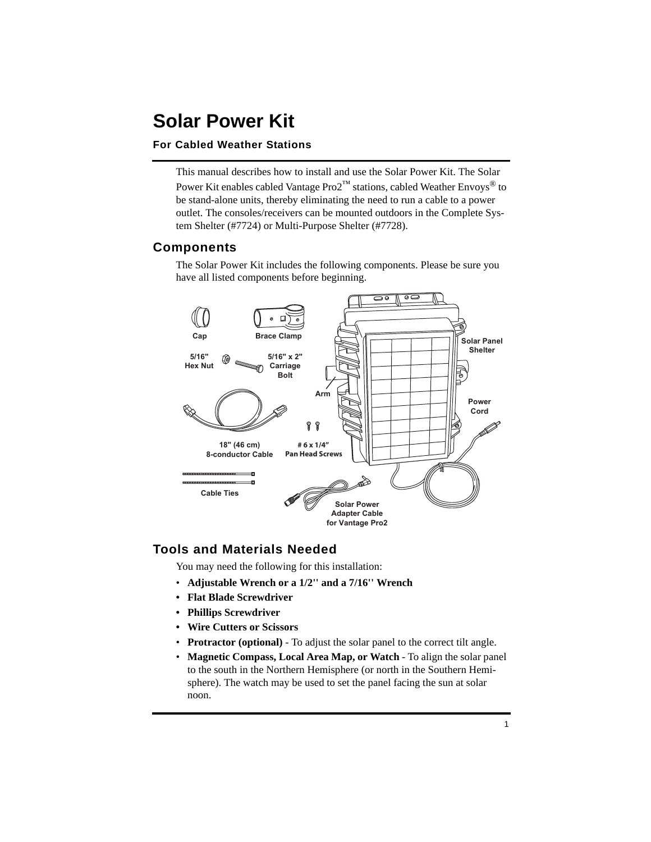# **Solar Power Kit**

#### **For Cabled Weather Stations**

This manual describes how to install and use the Solar Power Kit. The Solar Power Kit enables cabled Vantage  $\text{Pro2}^{\text{TM}}$  stations, cabled Weather Envoys<sup>®</sup> to be stand-alone units, thereby eliminating the need to run a cable to a power outlet. The consoles/receivers can be mounted outdoors in the Complete System Shelter (#7724) or Multi-Purpose Shelter (#7728).

### **Components**

The Solar Power Kit includes the following components. Please be sure you have all listed components before beginning.



#### **Tools and Materials Needed**

You may need the following for this installation:

- **Adjustable Wrench or a 1/2'' and a 7/16'' Wrench**
- **Flat Blade Screwdriver**
- **Phillips Screwdriver**
- **Wire Cutters or Scissors**
- **Protractor (optional)** To adjust the solar panel to the correct tilt angle.
- **Magnetic Compass, Local Area Map, or Watch** To align the solar panel to the south in the Northern Hemisphere (or north in the Southern Hemisphere). The watch may be used to set the panel facing the sun at solar noon.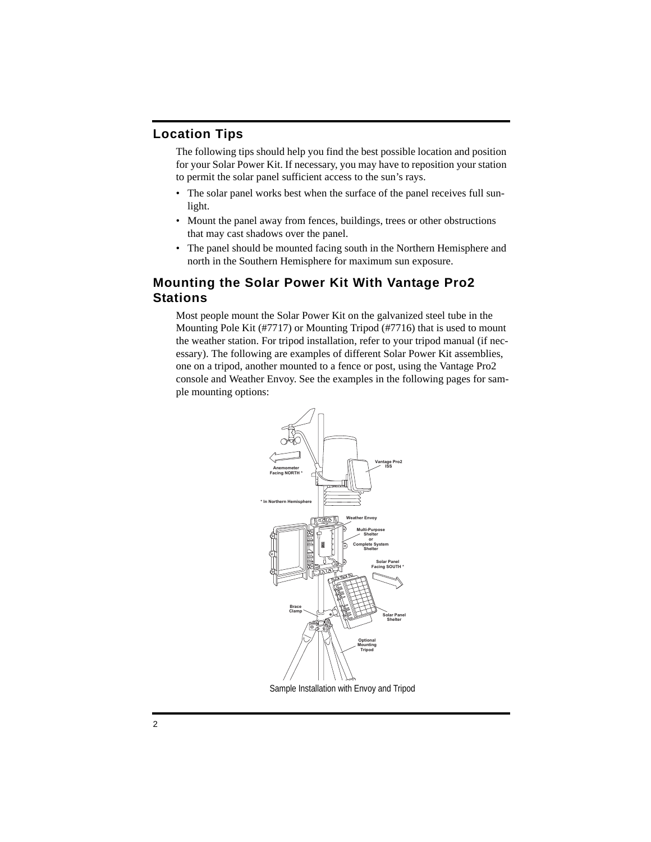# **Location Tips**

The following tips should help you find the best possible location and position for your Solar Power Kit. If necessary, you may have to reposition your station to permit the solar panel sufficient access to the sun's rays.

- The solar panel works best when the surface of the panel receives full sunlight.
- Mount the panel away from fences, buildings, trees or other obstructions that may cast shadows over the panel.
- The panel should be mounted facing south in the Northern Hemisphere and north in the Southern Hemisphere for maximum sun exposure.

## **Mounting the Solar Power Kit With Vantage Pro2 Stations**

Most people mount the Solar Power Kit on the galvanized steel tube in the Mounting Pole Kit (#7717) or Mounting Tripod (#7716) that is used to mount the weather station. For tripod installation, refer to your tripod manual (if necessary). The following are examples of different Solar Power Kit assemblies, one on a tripod, another mounted to a fence or post, using the Vantage Pro2 console and Weather Envoy. See the examples in the following pages for sample mounting options:



Sample Installation with Envoy and Tripod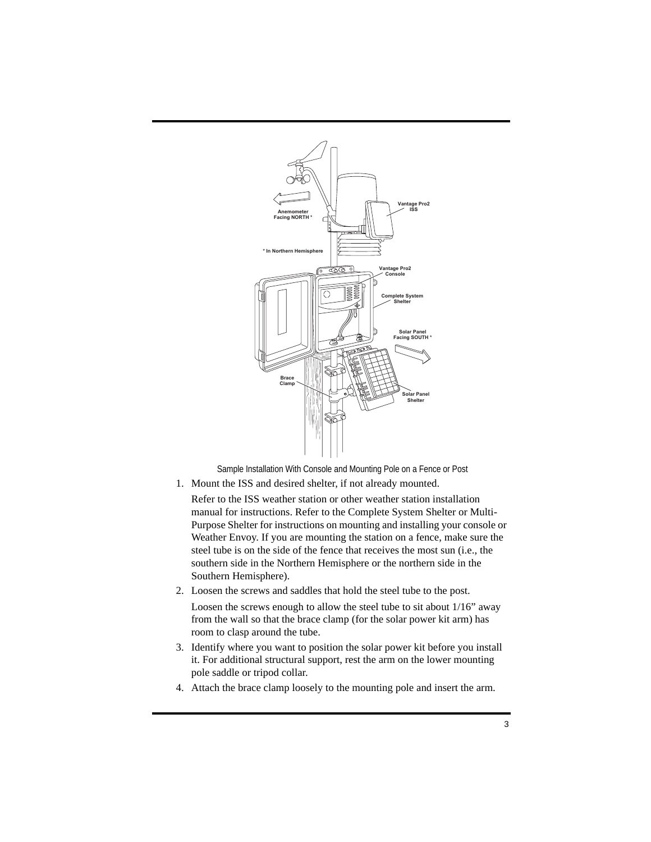

Sample Installation With Console and Mounting Pole on a Fence or Post

1. Mount the ISS and desired shelter, if not already mounted.

Refer to the ISS weather station or other weather station installation manual for instructions. Refer to the Complete System Shelter or Multi-Purpose Shelter for instructions on mounting and installing your console or Weather Envoy. If you are mounting the station on a fence, make sure the steel tube is on the side of the fence that receives the most sun (i.e., the southern side in the Northern Hemisphere or the northern side in the Southern Hemisphere).

- 2. Loosen the screws and saddles that hold the steel tube to the post. Loosen the screws enough to allow the steel tube to sit about 1/16" away from the wall so that the brace clamp (for the solar power kit arm) has room to clasp around the tube.
- 3. Identify where you want to position the solar power kit before you install it. For additional structural support, rest the arm on the lower mounting pole saddle or tripod collar.
- 4. Attach the brace clamp loosely to the mounting pole and insert the arm.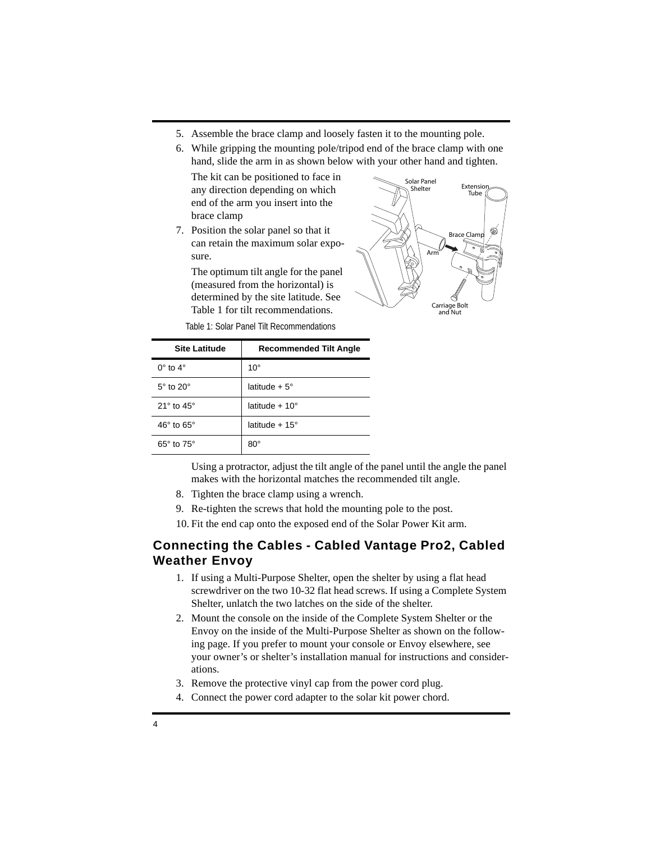- 5. Assemble the brace clamp and loosely fasten it to the mounting pole.
- 6. While gripping the mounting pole/tripod end of the brace clamp with one hand, slide the arm in as shown below with your other hand and tighten.

The kit can be positioned to face in any direction depending on which end of the arm you insert into the brace clamp

7. Position the solar panel so that it can retain the maximum solar exposure.

The optimum tilt angle for the panel (measured from the horizontal) is determined by the site latitude. See Table 1 for tilt recommendations.



Table 1: Solar Panel Tilt Recommendations

| <b>Site Latitude</b>         | <b>Recommended Tilt Angle</b> |
|------------------------------|-------------------------------|
| $0^\circ$ to $4^\circ$       | $10^{\circ}$                  |
| $5^\circ$ to $20^\circ$      | latitude + $5^\circ$          |
| $21^{\circ}$ to $45^{\circ}$ | latitude + $10^{\circ}$       |
| $46^{\circ}$ to $65^{\circ}$ | latitude + $15^\circ$         |
| $65^\circ$ to $75^\circ$     | $80^{\circ}$                  |

Using a protractor, adjust the tilt angle of the panel until the angle the panel makes with the horizontal matches the recommended tilt angle.

- 8. Tighten the brace clamp using a wrench.
- 9. Re-tighten the screws that hold the mounting pole to the post.
- 10. Fit the end cap onto the exposed end of the Solar Power Kit arm.

## **Connecting the Cables - Cabled Vantage Pro2, Cabled Weather Envoy**

- 1. If using a Multi-Purpose Shelter, open the shelter by using a flat head screwdriver on the two 10-32 flat head screws. If using a Complete System Shelter, unlatch the two latches on the side of the shelter.
- 2. Mount the console on the inside of the Complete System Shelter or the Envoy on the inside of the Multi-Purpose Shelter as shown on the following page. If you prefer to mount your console or Envoy elsewhere, see your owner's or shelter's installation manual for instructions and considerations.
- 3. Remove the protective vinyl cap from the power cord plug.
- 4. Connect the power cord adapter to the solar kit power chord.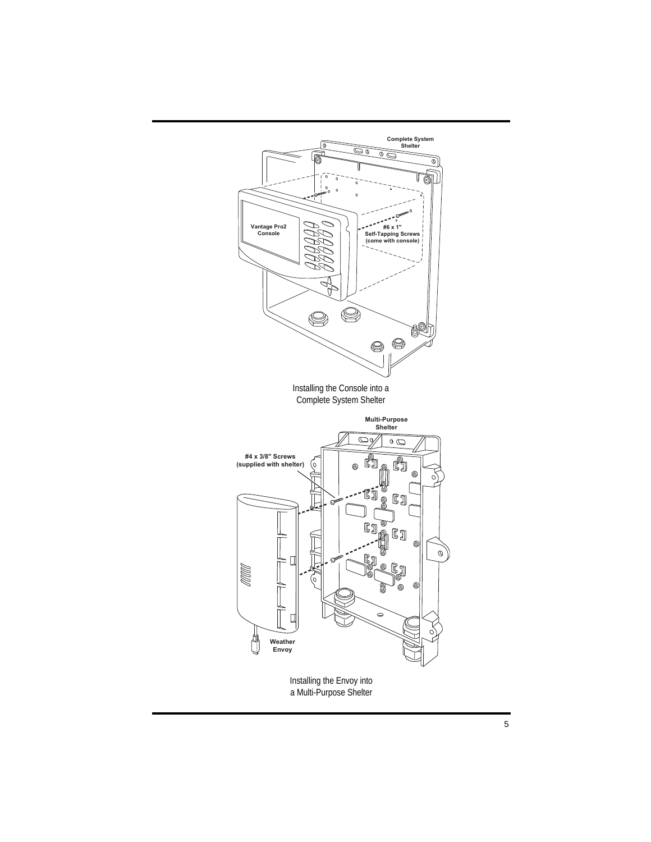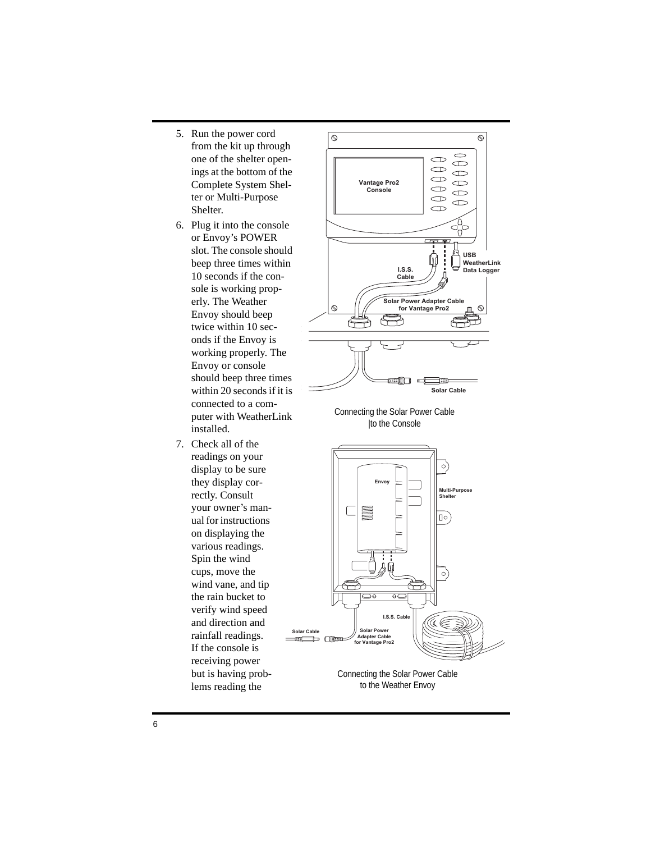- 5. Run the power cord from the kit up through one of the shelter openings at the bottom of the Complete System Shelter or Multi-Purpose Shelter.
- 6. Plug it into the console or Envoy's POWER slot. The console should beep three times within 10 seconds if the console is working properly. The Weather Envoy should beep twice within 10 seconds if the Envoy is working properly. The Envoy or console should beep three times within 20 seconds if it is connected to a computer with WeatherLink installed.
- 7. Check all of the readings on your display to be sure they display correctly. Consult your owner's manual for instructions on displaying the various readings. Spin the wind cups, move the wind vane, and tip the rain bucket to verify wind speed and direction and rainfall readings. If the console is receiving power but is having problems reading the



Connecting the Solar Power Cable |to the Console



Connecting the Solar Power Cable to the Weather Envoy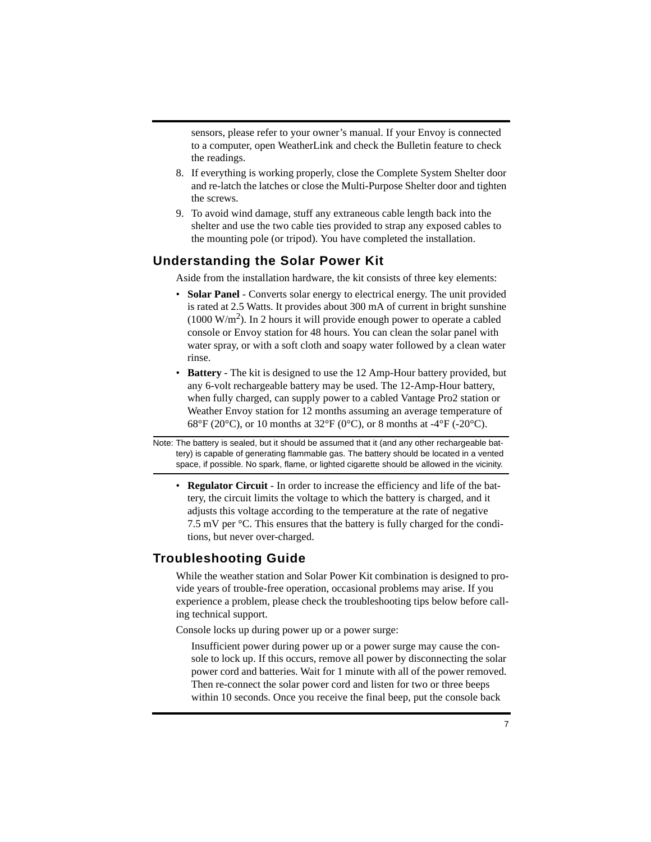sensors, please refer to your owner's manual. If your Envoy is connected to a computer, open WeatherLink and check the Bulletin feature to check the readings.

- 8. If everything is working properly, close the Complete System Shelter door and re-latch the latches or close the Multi-Purpose Shelter door and tighten the screws.
- 9. To avoid wind damage, stuff any extraneous cable length back into the shelter and use the two cable ties provided to strap any exposed cables to the mounting pole (or tripod). You have completed the installation.

### **Understanding the Solar Power Kit**

Aside from the installation hardware, the kit consists of three key elements:

- **Solar Panel** Converts solar energy to electrical energy. The unit provided is rated at 2.5 Watts. It provides about 300 mA of current in bright sunshine  $(1000 \text{ W/m}^2)$ . In 2 hours it will provide enough power to operate a cabled console or Envoy station for 48 hours. You can clean the solar panel with water spray, or with a soft cloth and soapy water followed by a clean water rinse.
- **Battery** The kit is designed to use the 12 Amp-Hour battery provided, but any 6-volt rechargeable battery may be used. The 12-Amp-Hour battery, when fully charged, can supply power to a cabled Vantage Pro2 station or Weather Envoy station for 12 months assuming an average temperature of 68°F (20°C), or 10 months at 32°F (0°C), or 8 months at -4°F (-20°C).
- Note: The battery is sealed, but it should be assumed that it (and any other rechargeable battery) is capable of generating flammable gas. The battery should be located in a vented space, if possible. No spark, flame, or lighted cigarette should be allowed in the vicinity.
	- **Regulator Circuit** In order to increase the efficiency and life of the battery, the circuit limits the voltage to which the battery is charged, and it adjusts this voltage according to the temperature at the rate of negative 7.5 mV per °C. This ensures that the battery is fully charged for the conditions, but never over-charged.

### **Troubleshooting Guide**

While the weather station and Solar Power Kit combination is designed to provide years of trouble-free operation, occasional problems may arise. If you experience a problem, please check the troubleshooting tips below before calling technical support.

Console locks up during power up or a power surge:

Insufficient power during power up or a power surge may cause the console to lock up. If this occurs, remove all power by disconnecting the solar power cord and batteries. Wait for 1 minute with all of the power removed. Then re-connect the solar power cord and listen for two or three beeps within 10 seconds. Once you receive the final beep, put the console back